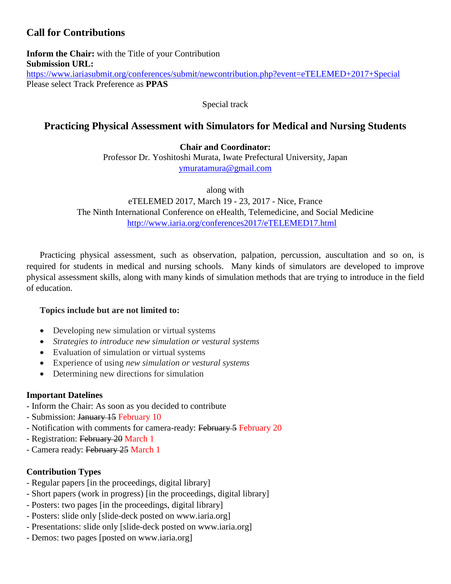# **Call for Contributions**

**Inform the Chair:** with the Title of your Contribution **Submission URL:** <https://www.iariasubmit.org/conferences/submit/newcontribution.php?event=eTELEMED+2017+Special> Please select Track Preference as **PPAS**

Special track

## **Practicing Physical Assessment with Simulators for Medical and Nursing Students**

**Chair and Coordinator:**

Professor Dr. Yoshitoshi Murata, Iwate Prefectural University, Japan [ymuratamura@gmail.com](mailto:ymuratamura@gmail.com)

along with eTELEMED 2017, March 19 - 23, 2017 - Nice, France The Ninth International Conference on eHealth, Telemedicine, and Social Medicine <http://www.iaria.org/conferences2017/eTELEMED17.html>

Practicing physical assessment, such as observation, palpation, percussion, auscultation and so on, is required for students in medical and nursing schools. Many kinds of simulators are developed to improve physical assessment skills, along with many kinds of simulation methods that are trying to introduce in the field of education.

#### **Topics include but are not limited to:**

- Developing new simulation or virtual systems
- *Strategies to introduce new simulation or vestural systems*
- Evaluation of simulation or virtual systems
- Experience of using *new simulation or vestural systems*
- Determining new directions for simulation

## **Important Datelines**

- Inform the Chair: As soon as you decided to contribute
- Submission: January 15 February 10
- Notification with comments for camera-ready: February 5 February 20
- Registration: February 20 March 1
- Camera ready: February 25 March 1

## **Contribution Types**

- Regular papers [in the proceedings, digital library]
- Short papers (work in progress) [in the proceedings, digital library]
- Posters: two pages [in the proceedings, digital library]
- Posters: slide only [slide-deck posted on www.iaria.org]
- Presentations: slide only [slide-deck posted on www.iaria.org]
- Demos: two pages [posted on www.iaria.org]